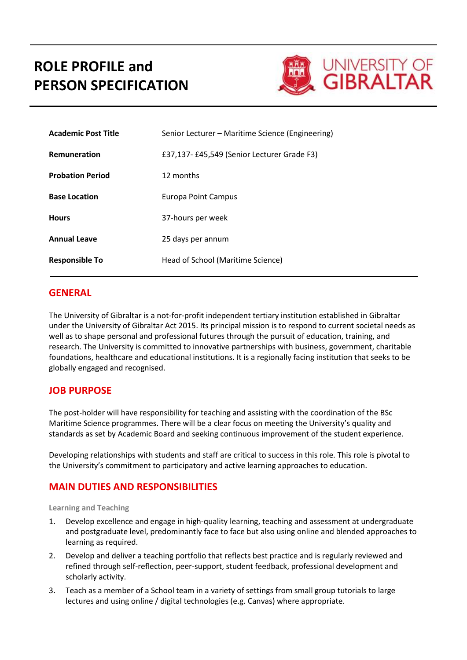# **ROLE PROFILE and PERSON SPECIFICATION**



| <b>Academic Post Title</b> | Senior Lecturer – Maritime Science (Engineering) |  |
|----------------------------|--------------------------------------------------|--|
| <b>Remuneration</b>        | £37,137-£45,549 (Senior Lecturer Grade F3)       |  |
| <b>Probation Period</b>    | 12 months                                        |  |
| <b>Base Location</b>       | Europa Point Campus                              |  |
| <b>Hours</b>               | 37-hours per week                                |  |
| <b>Annual Leave</b>        | 25 days per annum                                |  |
| <b>Responsible To</b>      | Head of School (Maritime Science)                |  |

### **GENERAL**

The University of Gibraltar is a not-for-profit independent tertiary institution established in Gibraltar under the University of Gibraltar Act 2015. Its principal mission is to respond to current societal needs as well as to shape personal and professional futures through the pursuit of education, training, and research. The University is committed to innovative partnerships with business, government, charitable foundations, healthcare and educational institutions. It is a regionally facing institution that seeks to be globally engaged and recognised.

## **JOB PURPOSE**

The post-holder will have responsibility for teaching and assisting with the coordination of the BSc Maritime Science programmes. There will be a clear focus on meeting the University's quality and standards as set by Academic Board and seeking continuous improvement of the student experience.

Developing relationships with students and staff are critical to success in this role. This role is pivotal to the University's commitment to participatory and active learning approaches to education.

# **MAIN DUTIES AND RESPONSIBILITIES**

#### **Learning and Teaching**

- 1. Develop excellence and engage in high-quality learning, teaching and assessment at undergraduate and postgraduate level, predominantly face to face but also using online and blended approaches to learning as required.
- 2. Develop and deliver a teaching portfolio that reflects best practice and is regularly reviewed and refined through self-reflection, peer-support, student feedback, professional development and scholarly activity.
- 3. Teach as a member of a School team in a variety of settings from small group tutorials to large lectures and using online / digital technologies (e.g. Canvas) where appropriate.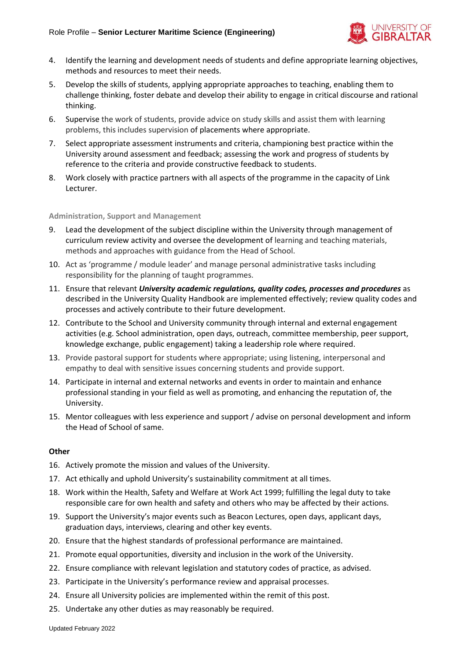

- 4. Identify the learning and development needs of students and define appropriate learning objectives, methods and resources to meet their needs.
- 5. Develop the skills of students, applying appropriate approaches to teaching, enabling them to challenge thinking, foster debate and develop their ability to engage in critical discourse and rational thinking.
- 6. Supervise the work of students, provide advice on study skills and assist them with learning problems, this includes supervision of placements where appropriate.
- 7. Select appropriate assessment instruments and criteria, championing best practice within the University around assessment and feedback; assessing the work and progress of students by reference to the criteria and provide constructive feedback to students.
- 8. Work closely with practice partners with all aspects of the programme in the capacity of Link Lecturer.

#### **Administration, Support and Management**

- 9. Lead the development of the subject discipline within the University through management of curriculum review activity and oversee the development of learning and teaching materials, methods and approaches with guidance from the Head of School.
- 10. Act as 'programme / module leader' and manage personal administrative tasks including responsibility for the planning of taught programmes.
- 11. Ensure that relevant *University academic regulations, quality codes, processes and procedures* as described in the University Quality Handbook are implemented effectively; review quality codes and processes and actively contribute to their future development.
- 12. Contribute to the School and University community through internal and external engagement activities (e.g. School administration, open days, outreach, committee membership, peer support, knowledge exchange, public engagement) taking a leadership role where required.
- 13. Provide pastoral support for students where appropriate; using listening, interpersonal and empathy to deal with sensitive issues concerning students and provide support.
- 14. Participate in internal and external networks and events in order to maintain and enhance professional standing in your field as well as promoting, and enhancing the reputation of, the University.
- 15. Mentor colleagues with less experience and support / advise on personal development and inform the Head of School of same.

#### **Other**

- 16. Actively promote the mission and values of the University.
- 17. Act ethically and uphold University's sustainability commitment at all times.
- 18. Work within the Health, Safety and Welfare at Work Act 1999; fulfilling the legal duty to take responsible care for own health and safety and others who may be affected by their actions.
- 19. Support the University's major events such as Beacon Lectures, open days, applicant days, graduation days, interviews, clearing and other key events.
- 20. Ensure that the highest standards of professional performance are maintained.
- 21. Promote equal opportunities, diversity and inclusion in the work of the University.
- 22. Ensure compliance with relevant legislation and statutory codes of practice, as advised.
- 23. Participate in the University's performance review and appraisal processes.
- 24. Ensure all University policies are implemented within the remit of this post.
- 25. Undertake any other duties as may reasonably be required.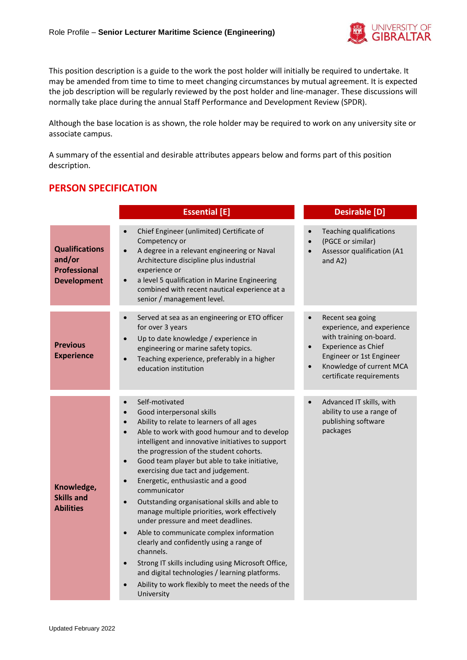

This position description is a guide to the work the post holder will initially be required to undertake. It may be amended from time to time to meet changing circumstances by mutual agreement. It is expected the job description will be regularly reviewed by the post holder and line-manager. These discussions will normally take place during the annual Staff Performance and Development Review (SPDR).

Although the base location is as shown, the role holder may be required to work on any university site or associate campus.

A summary of the essential and desirable attributes appears below and forms part of this position description.

# **PERSON SPECIFICATION**

| <b>Essential [E]</b>                                                         |                                                                                                                                                                                                                                                                                                                                                                                                                                                                                                                                                                                                                                                                                                                                                                                                                                                                                                                     | <b>Desirable [D]</b>                                                                                                                                                                                           |
|------------------------------------------------------------------------------|---------------------------------------------------------------------------------------------------------------------------------------------------------------------------------------------------------------------------------------------------------------------------------------------------------------------------------------------------------------------------------------------------------------------------------------------------------------------------------------------------------------------------------------------------------------------------------------------------------------------------------------------------------------------------------------------------------------------------------------------------------------------------------------------------------------------------------------------------------------------------------------------------------------------|----------------------------------------------------------------------------------------------------------------------------------------------------------------------------------------------------------------|
| <b>Qualifications</b><br>and/or<br><b>Professional</b><br><b>Development</b> | Chief Engineer (unlimited) Certificate of<br>Competency or<br>A degree in a relevant engineering or Naval<br>$\bullet$<br>Architecture discipline plus industrial<br>experience or<br>a level 5 qualification in Marine Engineering<br>$\bullet$<br>combined with recent nautical experience at a<br>senior / management level.                                                                                                                                                                                                                                                                                                                                                                                                                                                                                                                                                                                     | <b>Teaching qualifications</b><br>(PGCE or similar)<br>Assessor qualification (A1<br>and A2)                                                                                                                   |
| <b>Previous</b><br><b>Experience</b>                                         | Served at sea as an engineering or ETO officer<br>$\bullet$<br>for over 3 years<br>Up to date knowledge / experience in<br>$\bullet$<br>engineering or marine safety topics.<br>Teaching experience, preferably in a higher<br>$\bullet$<br>education institution                                                                                                                                                                                                                                                                                                                                                                                                                                                                                                                                                                                                                                                   | Recent sea going<br>experience, and experience<br>with training on-board.<br>Experience as Chief<br>$\bullet$<br>Engineer or 1st Engineer<br>Knowledge of current MCA<br>$\bullet$<br>certificate requirements |
| Knowledge,<br><b>Skills and</b><br><b>Abilities</b>                          | Self-motivated<br>$\bullet$<br>Good interpersonal skills<br>$\bullet$<br>Ability to relate to learners of all ages<br>$\bullet$<br>Able to work with good humour and to develop<br>$\bullet$<br>intelligent and innovative initiatives to support<br>the progression of the student cohorts.<br>Good team player but able to take initiative,<br>$\bullet$<br>exercising due tact and judgement.<br>Energetic, enthusiastic and a good<br>$\bullet$<br>communicator<br>Outstanding organisational skills and able to<br>manage multiple priorities, work effectively<br>under pressure and meet deadlines.<br>Able to communicate complex information<br>$\bullet$<br>clearly and confidently using a range of<br>channels.<br>Strong IT skills including using Microsoft Office,<br>$\bullet$<br>and digital technologies / learning platforms.<br>Ability to work flexibly to meet the needs of the<br>University | Advanced IT skills, with<br>ability to use a range of<br>publishing software<br>packages                                                                                                                       |